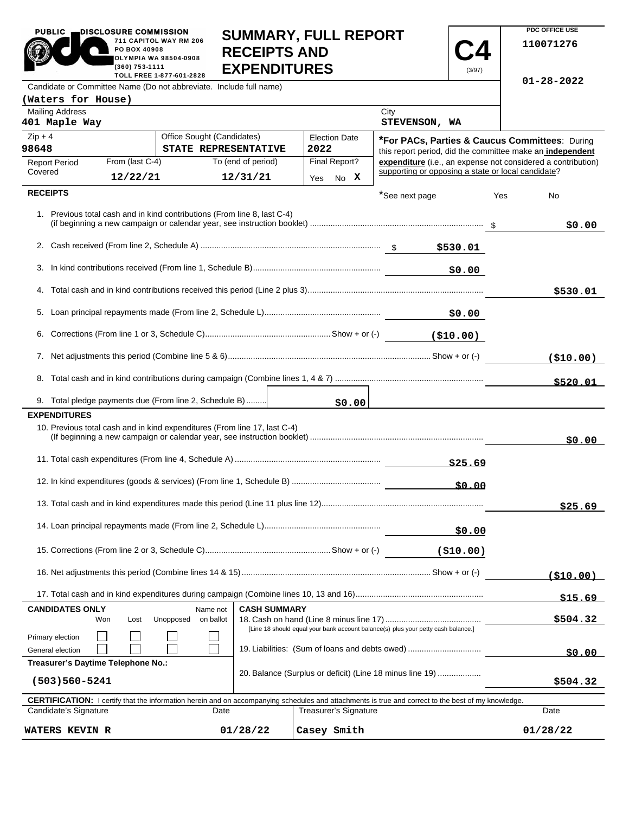| <b>PUBLIC</b>                                                             | DISCLOSURE COMMISSION<br>711 CAPITOL WAY RM 206<br>PO BOX 40908<br><b>OLYMPIA WA 98504-0908</b><br>(360) 753-1111<br>TOLL FREE 1-877-601-2828 | <b>RECEIPTS AND</b>  | <b>SUMMARY, FULL REPORT</b><br><b>EXPENDITURES</b>                                                                                  |                                                    | (3/97)     | PDC OFFICE USE<br>110071276                                  |
|---------------------------------------------------------------------------|-----------------------------------------------------------------------------------------------------------------------------------------------|----------------------|-------------------------------------------------------------------------------------------------------------------------------------|----------------------------------------------------|------------|--------------------------------------------------------------|
| Candidate or Committee Name (Do not abbreviate. Include full name)        |                                                                                                                                               |                      |                                                                                                                                     |                                                    |            | $01 - 28 - 2022$                                             |
| (Waters for House)                                                        |                                                                                                                                               |                      |                                                                                                                                     |                                                    |            |                                                              |
| <b>Mailing Address</b><br>401 Maple Way                                   |                                                                                                                                               |                      |                                                                                                                                     | City<br>STEVENSON, WA                              |            |                                                              |
| $Zip + 4$                                                                 | Office Sought (Candidates)                                                                                                                    |                      | <b>Election Date</b>                                                                                                                |                                                    |            | *For PACs, Parties & Caucus Committees: During               |
| 98648                                                                     |                                                                                                                                               | STATE REPRESENTATIVE | 2022                                                                                                                                |                                                    |            | this report period, did the committee make an independent    |
| <b>Report Period</b><br>Covered                                           | From (last C-4)                                                                                                                               | To (end of period)   | Final Report?                                                                                                                       | supporting or opposing a state or local candidate? |            | expenditure (i.e., an expense not considered a contribution) |
|                                                                           | 12/22/21                                                                                                                                      | 12/31/21             | Yes No X                                                                                                                            |                                                    |            |                                                              |
| <b>RECEIPTS</b>                                                           |                                                                                                                                               |                      |                                                                                                                                     | *See next page                                     |            | Yes<br>No                                                    |
| 1. Previous total cash and in kind contributions (From line 8, last C-4)  |                                                                                                                                               |                      |                                                                                                                                     |                                                    |            | \$0.00                                                       |
|                                                                           |                                                                                                                                               |                      |                                                                                                                                     |                                                    |            |                                                              |
|                                                                           |                                                                                                                                               |                      |                                                                                                                                     |                                                    | \$0.00     |                                                              |
|                                                                           |                                                                                                                                               |                      |                                                                                                                                     |                                                    |            | \$530.01                                                     |
|                                                                           |                                                                                                                                               |                      | 50.00 \$0.00 - \$0.00 \$0.00 \$0.00                                                                                                 |                                                    |            |                                                              |
|                                                                           |                                                                                                                                               |                      |                                                                                                                                     |                                                    |            |                                                              |
|                                                                           |                                                                                                                                               |                      |                                                                                                                                     |                                                    |            | ( \$10.00)                                                   |
|                                                                           |                                                                                                                                               |                      |                                                                                                                                     |                                                    |            | \$520.01                                                     |
| 9. Total pledge payments due (From line 2, Schedule B)                    |                                                                                                                                               |                      | \$0.00                                                                                                                              |                                                    |            |                                                              |
| <b>EXPENDITURES</b>                                                       |                                                                                                                                               |                      |                                                                                                                                     |                                                    |            |                                                              |
| 10. Previous total cash and in kind expenditures (From line 17, last C-4) |                                                                                                                                               |                      |                                                                                                                                     |                                                    |            | \$0.00                                                       |
|                                                                           |                                                                                                                                               |                      |                                                                                                                                     |                                                    |            |                                                              |
|                                                                           |                                                                                                                                               |                      |                                                                                                                                     |                                                    | \$0.00     |                                                              |
|                                                                           |                                                                                                                                               |                      |                                                                                                                                     |                                                    |            | \$25.69                                                      |
|                                                                           |                                                                                                                                               |                      |                                                                                                                                     |                                                    | \$0.00     |                                                              |
|                                                                           |                                                                                                                                               |                      |                                                                                                                                     |                                                    | ( \$10.00) |                                                              |
|                                                                           |                                                                                                                                               |                      |                                                                                                                                     |                                                    |            | ( \$10.00)                                                   |
|                                                                           |                                                                                                                                               |                      |                                                                                                                                     |                                                    |            | \$15.69                                                      |
| <b>CANDIDATES ONLY</b><br>Won                                             | Name not<br>Unopposed<br>Lost<br>on ballot                                                                                                    | <b>CASH SUMMARY</b>  |                                                                                                                                     |                                                    |            | \$504.32                                                     |
| Primary election<br>General election                                      |                                                                                                                                               |                      | [Line 18 should equal your bank account balance(s) plus your petty cash balance.]<br>19. Liabilities: (Sum of loans and debts owed) |                                                    |            | \$0.00                                                       |
| Treasurer's Daytime Telephone No.:<br>$(503)560 - 5241$                   |                                                                                                                                               |                      | 20. Balance (Surplus or deficit) (Line 18 minus line 19)                                                                            |                                                    |            | \$504.32                                                     |

**PDC OFFICE USE** 

Г

PUBLIC **DISCLOSURE COMMISSION** 

| <b>CERTIFICATION:</b> I certify that the information herein and on accompanying schedules and attachments is true and correct to the best of my knowledge. |          |                       |          |  |  |  |
|------------------------------------------------------------------------------------------------------------------------------------------------------------|----------|-----------------------|----------|--|--|--|
| Candidate's Signature                                                                                                                                      | Date     | Treasurer's Signature | Date     |  |  |  |
| <b>WATERS KEVIN R</b>                                                                                                                                      | 01/28/22 | Casev Smith           | 01/28/22 |  |  |  |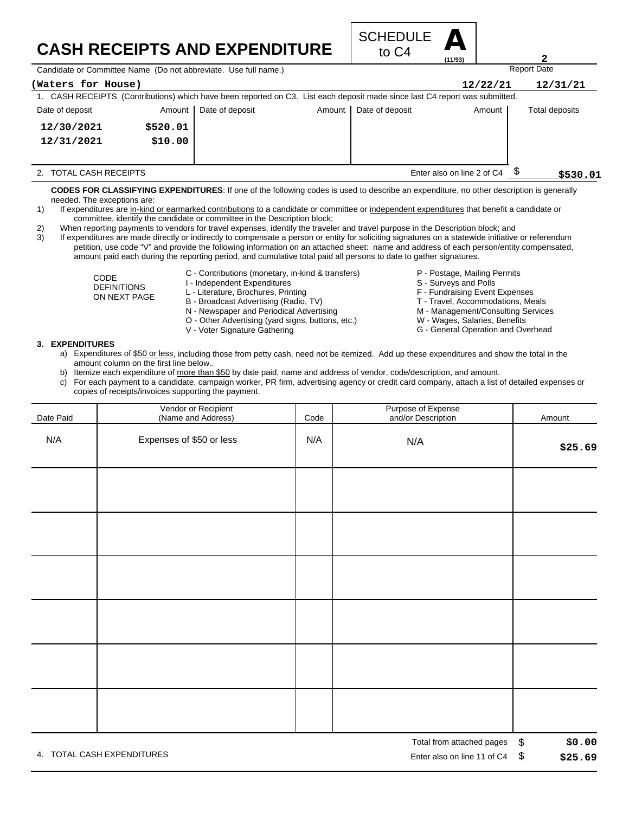## **CASH RECEIPTS AND EXPENDITURE**



Candidate or Committee Name (Do not abbreviate. Use full name.)

| <b>Udinal did Up the Hotel Continues I see The Hot displayment.</b> Use Tail Hamio.                                         |          |                 |                            |                 |          |                |
|-----------------------------------------------------------------------------------------------------------------------------|----------|-----------------|----------------------------|-----------------|----------|----------------|
| (Waters for House)                                                                                                          |          |                 |                            |                 | 12/22/21 | 12/31/21       |
| 1. CASH RECEIPTS (Contributions) which have been reported on C3. List each deposit made since last C4 report was submitted. |          |                 |                            |                 |          |                |
| Date of deposit                                                                                                             | Amount I | Date of deposit | Amount                     | Date of deposit | Amount   | Total deposits |
| 12/30/2021                                                                                                                  | \$520.01 |                 |                            |                 |          |                |
| 12/31/2021                                                                                                                  | \$10.00  |                 |                            |                 |          |                |
|                                                                                                                             |          |                 |                            |                 |          |                |
| 2. TOTAL CASH RECEIPTS                                                                                                      |          |                 | Enter also on line 2 of C4 |                 |          | \$530.01       |

**CODES FOR CLASSIFYING EXPENDITURES**: If one of the following codes is used to describe an expenditure, no other description is generally needed. The exceptions are:

- 1) If expenditures are in-kind or earmarked contributions to a candidate or committee or independent expenditures that benefit a candidate or committee, identify the candidate or committee in the Description block;
- 2) When reporting payments to vendors for travel expenses, identify the traveler and travel purpose in the Description block; and
- 3) If expenditures are made directly or indirectly to compensate a person or entity for soliciting signatures on a statewide initiative or referendum petition, use code "V" and provide the following information on an attached sheet: name and address of each person/entity compensated, amount paid each during the reporting period, and cumulative total paid all persons to date to gather signatures.
	- C Contributions (monetary, in-kind & transfers)

CODE DEFINITIONS ON NEXT PAGE

- I Independent Expenditures L - Literature, Brochures, Printing
- B Broadcast Advertising (Radio, TV)
- N Newspaper and Periodical Advertising
- O Other Advertising (yard signs, buttons, etc.)
- V Voter Signature Gathering
- P Postage, Mailing Permits
- S Surveys and Polls
- F Fundraising Event Expenses
- T Travel, Accommodations, Meals
- M Management/Consulting Services
- W Wages, Salaries, Benefits
- G General Operation and Overhead

## **3. EXPENDITURES**

- a) Expenditures of \$50 or less, including those from petty cash, need not be itemized. Add up these expenditures and show the total in the amount column on the first line below..
- b) Itemize each expenditure of more than \$50 by date paid, name and address of vendor, code/description, and amount.
- c) For each payment to a candidate, campaign worker, PR firm, advertising agency or credit card company, attach a list of detailed expenses or copies of receipts/invoices supporting the payment.

| Date Paid | Vendor or Recipient<br>(Name and Address) | Code | Purpose of Expense<br>and/or Description                                                                                                                                                                                                              | Amount                      |
|-----------|-------------------------------------------|------|-------------------------------------------------------------------------------------------------------------------------------------------------------------------------------------------------------------------------------------------------------|-----------------------------|
| N/A       | Expenses of \$50 or less                  | N/A  | N/A                                                                                                                                                                                                                                                   | \$25.69                     |
|           |                                           |      |                                                                                                                                                                                                                                                       |                             |
|           |                                           |      |                                                                                                                                                                                                                                                       |                             |
|           |                                           |      |                                                                                                                                                                                                                                                       |                             |
|           |                                           |      |                                                                                                                                                                                                                                                       |                             |
|           |                                           |      |                                                                                                                                                                                                                                                       |                             |
|           |                                           |      |                                                                                                                                                                                                                                                       |                             |
|           |                                           |      | $\overline{\mathbf{T}}$ and all $\overline{\mathbf{f}}$ are also as a set of the set of the set of the set of the set of the set of the set of the set of the set of the set of the set of the set of the set of the set of the set of the set of the | $\triangle$<br>$\mathbf{A}$ |

4. TOTAL CASH EXPENDITURES **EXAMPLE 2008** 2012 12:00 THE RISP ON LINE 2012 12:00 THE RISP ON LINE 11 Of C4 \$

**2**

Report Date